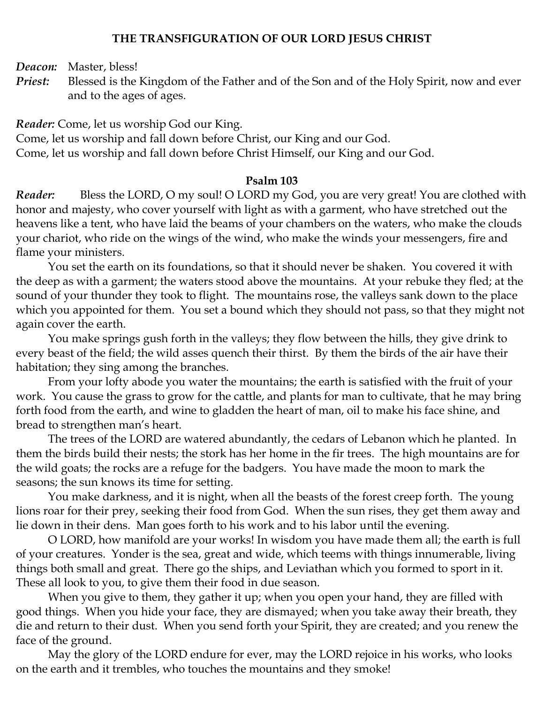### **THE TRANSFIGURATION OF OUR LORD JESUS CHRIST**

*Deacon:* Master, bless!

*Priest:* Blessed is the Kingdom of the Father and of the Son and of the Holy Spirit, now and ever and to the ages of ages.

*Reader:* Come, let us worship God our King.

Come, let us worship and fall down before Christ, our King and our God.

Come, let us worship and fall down before Christ Himself, our King and our God.

#### **Psalm 103**

*Reader:* Bless the LORD, O my soul! O LORD my God, you are very great! You are clothed with honor and majesty, who cover yourself with light as with a garment, who have stretched out the heavens like a tent, who have laid the beams of your chambers on the waters, who make the clouds your chariot, who ride on the wings of the wind, who make the winds your messengers, fire and flame your ministers.

You set the earth on its foundations, so that it should never be shaken. You covered it with the deep as with a garment; the waters stood above the mountains. At your rebuke they fled; at the sound of your thunder they took to flight. The mountains rose, the valleys sank down to the place which you appointed for them. You set a bound which they should not pass, so that they might not again cover the earth.

You make springs gush forth in the valleys; they flow between the hills, they give drink to every beast of the field; the wild asses quench their thirst. By them the birds of the air have their habitation; they sing among the branches.

From your lofty abode you water the mountains; the earth is satisfied with the fruit of your work. You cause the grass to grow for the cattle, and plants for man to cultivate, that he may bring forth food from the earth, and wine to gladden the heart of man, oil to make his face shine, and bread to strengthen man's heart.

The trees of the LORD are watered abundantly, the cedars of Lebanon which he planted. In them the birds build their nests; the stork has her home in the fir trees. The high mountains are for the wild goats; the rocks are a refuge for the badgers. You have made the moon to mark the seasons; the sun knows its time for setting.

You make darkness, and it is night, when all the beasts of the forest creep forth. The young lions roar for their prey, seeking their food from God. When the sun rises, they get them away and lie down in their dens. Man goes forth to his work and to his labor until the evening.

O LORD, how manifold are your works! In wisdom you have made them all; the earth is full of your creatures. Yonder is the sea, great and wide, which teems with things innumerable, living things both small and great. There go the ships, and Leviathan which you formed to sport in it. These all look to you, to give them their food in due season.

When you give to them, they gather it up; when you open your hand, they are filled with good things. When you hide your face, they are dismayed; when you take away their breath, they die and return to their dust. When you send forth your Spirit, they are created; and you renew the face of the ground.

May the glory of the LORD endure for ever, may the LORD rejoice in his works, who looks on the earth and it trembles, who touches the mountains and they smoke!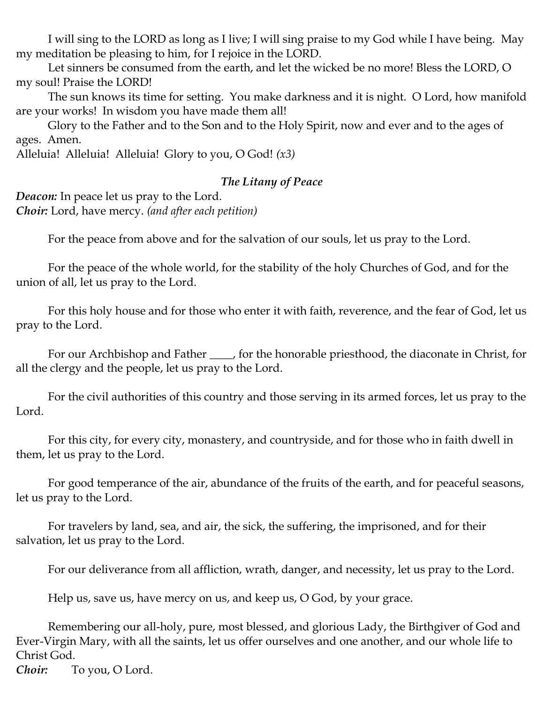I will sing to the LORD as long as I live; I will sing praise to my God while I have being. May my meditation be pleasing to him, for I rejoice in the LORD.

Let sinners be consumed from the earth, and let the wicked be no more! Bless the LORD, O my soul! Praise the LORD!

The sun knows its time for setting. You make darkness and it is night. O Lord, how manifold are your works! In wisdom you have made them all!

Glory to the Father and to the Son and to the Holy Spirit, now and ever and to the ages of ages. Amen.

Alleluia! Alleluia! Alleluia! Glory to you, O God! *(x3)*

#### *The Litany of Peace*

*Deacon:* In peace let us pray to the Lord. *Choir:* Lord, have mercy. *(and after each petition)*

For the peace from above and for the salvation of our souls, let us pray to the Lord.

For the peace of the whole world, for the stability of the holy Churches of God, and for the union of all, let us pray to the Lord.

For this holy house and for those who enter it with faith, reverence, and the fear of God, let us pray to the Lord.

For our Archbishop and Father \_\_\_\_, for the honorable priesthood, the diaconate in Christ, for all the clergy and the people, let us pray to the Lord.

For the civil authorities of this country and those serving in its armed forces, let us pray to the Lord.

For this city, for every city, monastery, and countryside, and for those who in faith dwell in them, let us pray to the Lord.

For good temperance of the air, abundance of the fruits of the earth, and for peaceful seasons, let us pray to the Lord.

For travelers by land, sea, and air, the sick, the suffering, the imprisoned, and for their salvation, let us pray to the Lord.

For our deliverance from all affliction, wrath, danger, and necessity, let us pray to the Lord.

Help us, save us, have mercy on us, and keep us, O God, by your grace.

Remembering our all-holy, pure, most blessed, and glorious Lady, the Birthgiver of God and Ever-Virgin Mary, with all the saints, let us offer ourselves and one another, and our whole life to Christ God.

*Choir:* To you, O Lord.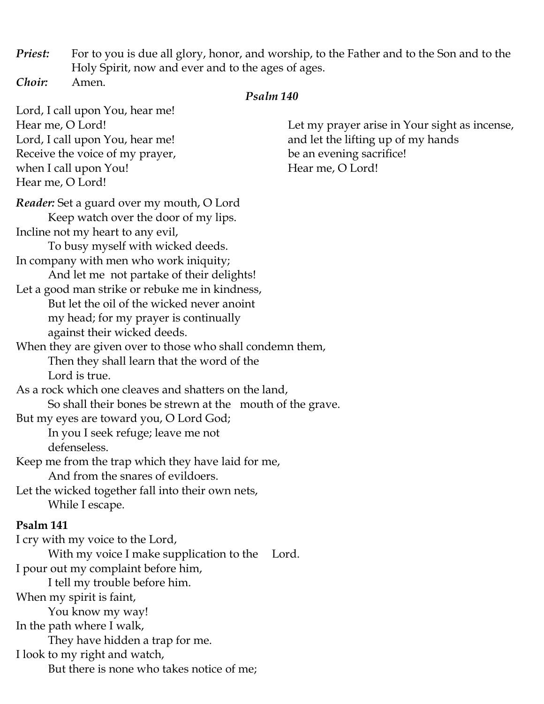*Priest:* For to you is due all glory, honor, and worship, to the Father and to the Son and to the Holy Spirit, now and ever and to the ages of ages. *Choir:* Amen.

#### *Psalm 140*

Lord, I call upon You, hear me! Hear me, O Lord! Lord, I call upon You, hear me! Receive the voice of my prayer, when I call upon You! Hear me, O Lord! Let my prayer arise in Your sight as incense, and let the lifting up of my hands be an evening sacrifice! Hear me, O Lord! *Reader:* Set a guard over my mouth, O Lord Keep watch over the door of my lips. Incline not my heart to any evil, To busy myself with wicked deeds. In company with men who work iniquity; And let me not partake of their delights! Let a good man strike or rebuke me in kindness, But let the oil of the wicked never anoint my head; for my prayer is continually against their wicked deeds. When they are given over to those who shall condemn them, Then they shall learn that the word of the Lord is true. As a rock which one cleaves and shatters on the land, So shall their bones be strewn at the mouth of the grave. But my eyes are toward you, O Lord God; In you I seek refuge; leave me not defenseless. Keep me from the trap which they have laid for me, And from the snares of evildoers. Let the wicked together fall into their own nets, While I escape. **Psalm 141** I cry with my voice to the Lord, With my voice I make supplication to the Lord. I pour out my complaint before him, I tell my trouble before him. When my spirit is faint, You know my way! In the path where I walk, They have hidden a trap for me. I look to my right and watch, But there is none who takes notice of me;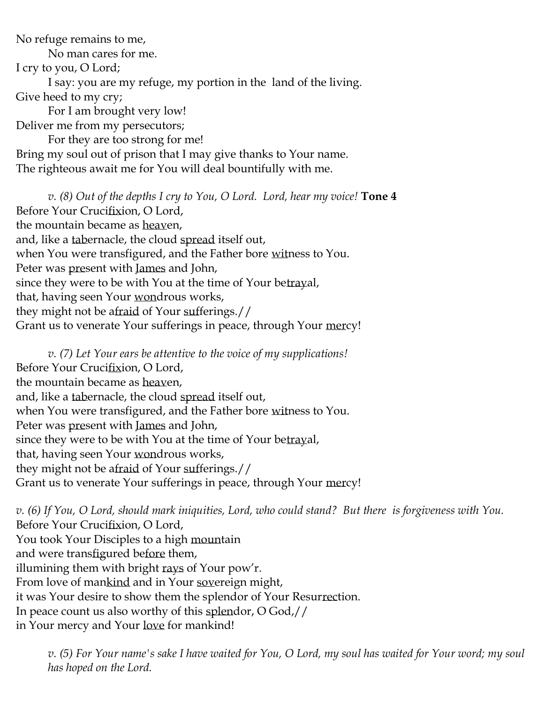No refuge remains to me,

No man cares for me.

I cry to you, O Lord;

I say: you are my refuge, my portion in the land of the living.

Give heed to my cry;

For I am brought very low!

Deliver me from my persecutors; For they are too strong for me! Bring my soul out of prison that I may give thanks to Your name. The righteous await me for You will deal bountifully with me.

*v. (8) Out of the depths I cry to You, O Lord. Lord, hear my voice!* **Tone 4** Before Your Crucifixion, O Lord, the mountain became as heaven, and, like a tabernacle, the cloud spread itself out, when You were transfigured, and the Father bore witness to You. Peter was present with James and John, since they were to be with You at the time of Your betrayal, that, having seen Your wondrous works, they might not be afraid of Your sufferings.// Grant us to venerate Your sufferings in peace, through Your mercy!

*v. (7) Let Your ears be attentive to the voice of my supplications!* Before Your Crucifixion, O Lord, the mountain became as heaven, and, like a tabernacle, the cloud spread itself out, when You were transfigured, and the Father bore witness to You. Peter was present with James and John, since they were to be with You at the time of Your betrayal, that, having seen Your wondrous works, they might not be afraid of Your sufferings.// Grant us to venerate Your sufferings in peace, through Your mercy!

*v. (6) If You, O Lord, should mark iniquities, Lord, who could stand? But there is forgiveness with You.*  Before Your Crucifixion, O Lord, You took Your Disciples to a high mountain and were transfigured before them, illumining them with bright rays of Your pow'r. From love of mankind and in Your sovereign might, it was Your desire to show them the splendor of Your Resurrection. In peace count us also worthy of this splendor, O God,// in Your mercy and Your love for mankind!

*v. (5) For Your name's sake I have waited for You, O Lord, my soul has waited for Your word; my soul has hoped on the Lord.*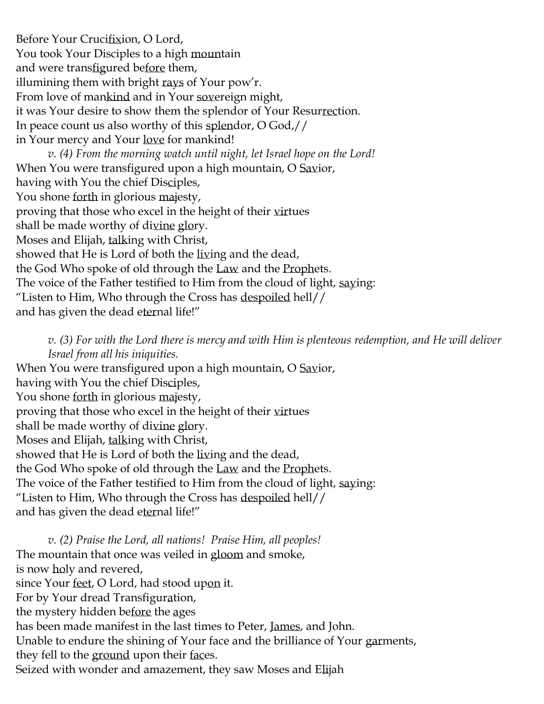Before Your Crucifixion, O Lord, You took Your Disciples to a high mountain and were transfigured before them, illumining them with bright rays of Your pow'r. From love of mankind and in Your sovereign might, it was Your desire to show them the splendor of Your Resurrection. In peace count us also worthy of this splendor, O God,// in Your mercy and Your love for mankind! *v. (4) From the morning watch until night, let Israel hope on the Lord!* When You were transfigured upon a high mountain, O Savior, having with You the chief Disciples, You shone forth in glorious majesty, proving that those who excel in the height of their virtues shall be made worthy of divine glory. Moses and Elijah, talking with Christ, showed that He is Lord of both the living and the dead, the God Who spoke of old through the Law and the Prophets. The voice of the Father testified to Him from the cloud of light, saying: "Listen to Him, Who through the Cross has despoiled hell// and has given the dead eternal life!"

*v. (3) For with the Lord there is mercy and with Him is plenteous redemption, and He will deliver Israel from all his iniquities.* When You were transfigured upon a high mountain, O Savior, having with You the chief Disciples, You shone forth in glorious majesty, proving that those who excel in the height of their virtues shall be made worthy of divine glory. Moses and Elijah, talking with Christ, showed that He is Lord of both the living and the dead, the God Who spoke of old through the Law and the Prophets. The voice of the Father testified to Him from the cloud of light, saying: "Listen to Him, Who through the Cross has despoiled hell// and has given the dead eternal life!"

*v. (2) Praise the Lord, all nations! Praise Him, all peoples!* The mountain that once was veiled in gloom and smoke, is now holy and revered, since Your feet, O Lord, had stood upon it. For by Your dread Transfiguration, the mystery hidden before the ages has been made manifest in the last times to Peter, James, and John. Unable to endure the shining of Your face and the brilliance of Your garments, they fell to the ground upon their faces. Seized with wonder and amazement, they saw Moses and Elijah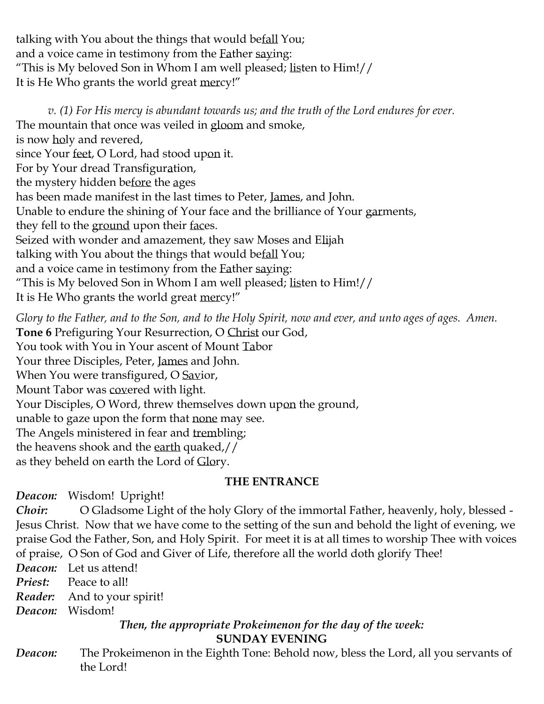talking with You about the things that would befall You; and a voice came in testimony from the Father saying: "This is My beloved Son in Whom I am well pleased; listen to Him!// It is He Who grants the world great mercy!"

*v. (1) For His mercy is abundant towards us; and the truth of the Lord endures for ever.*  The mountain that once was veiled in gloom and smoke, is now holy and revered, since Your feet, O Lord, had stood upon it. For by Your dread Transfiguration, the mystery hidden before the ages has been made manifest in the last times to Peter, James, and John. Unable to endure the shining of Your face and the brilliance of Your garments, they fell to the ground upon their faces. Seized with wonder and amazement, they saw Moses and Elijah talking with You about the things that would befall You; and a voice came in testimony from the Father saying: "This is My beloved Son in Whom I am well pleased; listen to Him!// It is He Who grants the world great mercy!"

*Glory to the Father, and to the Son, and to the Holy Spirit, now and ever, and unto ages of ages. Amen.* **Tone 6** Prefiguring Your Resurrection, O Christ our God, You took with You in Your ascent of Mount Tabor Your three Disciples, Peter, James and John. When You were transfigured, O Savior, Mount Tabor was covered with light. Your Disciples, O Word, threw themselves down upon the ground, unable to gaze upon the form that none may see. The Angels ministered in fear and trembling; the heavens shook and the earth quaked,// as they beheld on earth the Lord of Glory.

# **THE ENTRANCE**

*Deacon:* Wisdom! Upright!

*Choir:* O Gladsome Light of the holy Glory of the immortal Father, heavenly, holy, blessed - Jesus Christ. Now that we have come to the setting of the sun and behold the light of evening, we praise God the Father, Son, and Holy Spirit. For meet it is at all times to worship Thee with voices of praise, O Son of God and Giver of Life, therefore all the world doth glorify Thee!

*Deacon:* Let us attend!

*Priest:* Peace to all!

*Reader:* And to your spirit!

*Deacon:* Wisdom!

## *Then, the appropriate Prokeimenon for the day of the week:* **SUNDAY EVENING**

*Deacon:* The Prokeimenon in the Eighth Tone: Behold now, bless the Lord, all you servants of the Lord!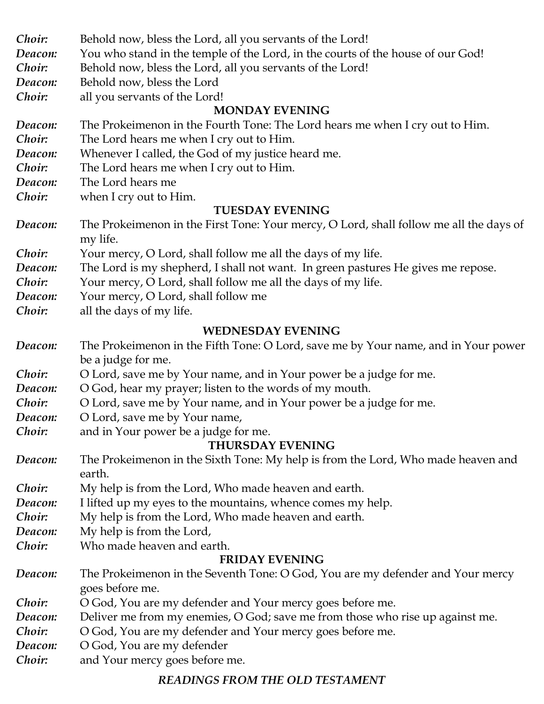| Choir:  | Behold now, bless the Lord, all you servants of the Lord!                                                |
|---------|----------------------------------------------------------------------------------------------------------|
| Deacon: | You who stand in the temple of the Lord, in the courts of the house of our God!                          |
| Choir:  | Behold now, bless the Lord, all you servants of the Lord!                                                |
| Deacon: | Behold now, bless the Lord                                                                               |
| Choir:  | all you servants of the Lord!                                                                            |
|         | <b>MONDAY EVENING</b>                                                                                    |
| Deacon: | The Prokeimenon in the Fourth Tone: The Lord hears me when I cry out to Him.                             |
| Choir:  | The Lord hears me when I cry out to Him.                                                                 |
| Deacon: | Whenever I called, the God of my justice heard me.                                                       |
| Choir:  | The Lord hears me when I cry out to Him.                                                                 |
| Deacon: | The Lord hears me                                                                                        |
| Choir:  | when I cry out to Him.                                                                                   |
|         | <b>TUESDAY EVENING</b>                                                                                   |
| Deacon: | The Prokeimenon in the First Tone: Your mercy, O Lord, shall follow me all the days of                   |
|         | my life.                                                                                                 |
| Choir:  | Your mercy, O Lord, shall follow me all the days of my life.                                             |
| Deacon: | The Lord is my shepherd, I shall not want. In green pastures He gives me repose.                         |
| Choir:  | Your mercy, O Lord, shall follow me all the days of my life.                                             |
| Deacon: | Your mercy, O Lord, shall follow me                                                                      |
| Choir:  | all the days of my life.                                                                                 |
|         | <b>WEDNESDAY EVENING</b>                                                                                 |
| Deacon: |                                                                                                          |
|         | The Prokeimenon in the Fifth Tone: O Lord, save me by Your name, and in Your power<br>be a judge for me. |
| Choir:  | O Lord, save me by Your name, and in Your power be a judge for me.                                       |
| Deacon: | O God, hear my prayer; listen to the words of my mouth.                                                  |
| Choir:  | O Lord, save me by Your name, and in Your power be a judge for me.                                       |
| Deacon: |                                                                                                          |
| Choir:  | O Lord, save me by Your name,<br>and in Your power be a judge for me.                                    |
|         | <b>THURSDAY EVENING</b>                                                                                  |
| Deacon: | The Prokeimenon in the Sixth Tone: My help is from the Lord, Who made heaven and                         |
|         | earth.                                                                                                   |
| Choir:  | My help is from the Lord, Who made heaven and earth.                                                     |
| Deacon: | I lifted up my eyes to the mountains, whence comes my help.                                              |
| Choir:  | My help is from the Lord, Who made heaven and earth.                                                     |
| Deacon: | My help is from the Lord,                                                                                |
| Choir:  | Who made heaven and earth.                                                                               |
|         | <b>FRIDAY EVENING</b>                                                                                    |
| Deacon: | The Prokeimenon in the Seventh Tone: O God, You are my defender and Your mercy                           |
|         | goes before me.                                                                                          |
| Choir:  | O God, You are my defender and Your mercy goes before me.                                                |
| Deacon: | Deliver me from my enemies, O God; save me from those who rise up against me.                            |
| Choir:  | O God, You are my defender and Your mercy goes before me.                                                |
| Deacon: | O God, You are my defender                                                                               |
| Choir:  | and Your mercy goes before me.                                                                           |
|         |                                                                                                          |

## *READINGS FROM THE OLD TESTAMENT*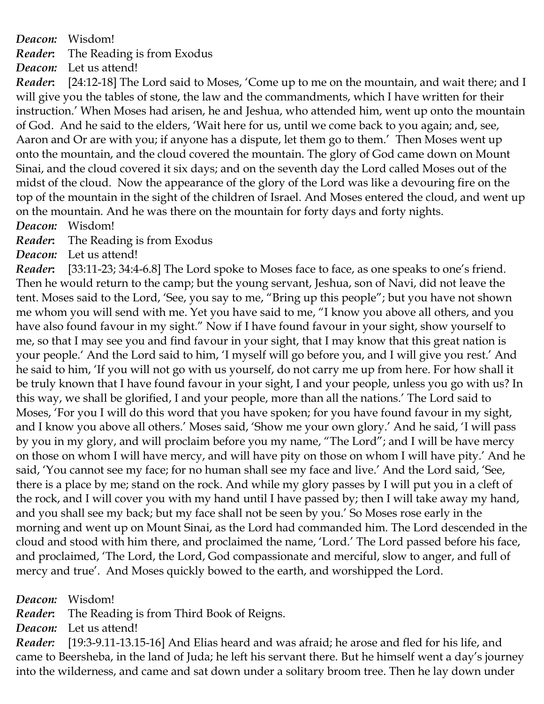*Deacon:* Wisdom!

*Reader***:** The Reading is from Exodus

*Deacon:* Let us attend!

*Reader***:** [24:12-18] The Lord said to Moses, 'Come up to me on the mountain, and wait there; and I will give you the tables of stone, the law and the commandments, which I have written for their instruction.' When Moses had arisen, he and Jeshua, who attended him, went up onto the mountain of God. And he said to the elders, 'Wait here for us, until we come back to you again; and, see, Aaron and Or are with you; if anyone has a dispute, let them go to them.' Then Moses went up onto the mountain, and the cloud covered the mountain. The glory of God came down on Mount Sinai, and the cloud covered it six days; and on the seventh day the Lord called Moses out of the midst of the cloud. Now the appearance of the glory of the Lord was like a devouring fire on the top of the mountain in the sight of the children of Israel. And Moses entered the cloud, and went up on the mountain. And he was there on the mountain for forty days and forty nights.

*Deacon:* Wisdom!

*Reader***:** The Reading is from Exodus

*Deacon:* Let us attend!

*Reader***:** [33:11-23; 34:4-6.8] The Lord spoke to Moses face to face, as one speaks to one's friend. Then he would return to the camp; but the young servant, Jeshua, son of Navi, did not leave the tent. Moses said to the Lord, 'See, you say to me, "Bring up this people"; but you have not shown me whom you will send with me. Yet you have said to me, "I know you above all others, and you have also found favour in my sight." Now if I have found favour in your sight, show yourself to me, so that I may see you and find favour in your sight, that I may know that this great nation is your people.' And the Lord said to him, 'I myself will go before you, and I will give you rest.' And he said to him, 'If you will not go with us yourself, do not carry me up from here. For how shall it be truly known that I have found favour in your sight, I and your people, unless you go with us? In this way, we shall be glorified, I and your people, more than all the nations.' The Lord said to Moses, 'For you I will do this word that you have spoken; for you have found favour in my sight, and I know you above all others.' Moses said, 'Show me your own glory.' And he said, 'I will pass by you in my glory, and will proclaim before you my name, "The Lord"; and I will be have mercy on those on whom I will have mercy, and will have pity on those on whom I will have pity.' And he said, 'You cannot see my face; for no human shall see my face and live.' And the Lord said, 'See, there is a place by me; stand on the rock. And while my glory passes by I will put you in a cleft of the rock, and I will cover you with my hand until I have passed by; then I will take away my hand, and you shall see my back; but my face shall not be seen by you.' So Moses rose early in the morning and went up on Mount Sinai, as the Lord had commanded him. The Lord descended in the cloud and stood with him there, and proclaimed the name, 'Lord.' The Lord passed before his face, and proclaimed, 'The Lord, the Lord, God compassionate and merciful, slow to anger, and full of mercy and true'. And Moses quickly bowed to the earth, and worshipped the Lord.

*Deacon:* Wisdom!

*Reader***:** The Reading is from Third Book of Reigns.

*Deacon:* Let us attend!

*Reader:* [19:3-9.11-13.15-16] And Elias heard and was afraid; he arose and fled for his life, and came to Beersheba, in the land of Juda; he left his servant there. But he himself went a day's journey into the wilderness, and came and sat down under a solitary broom tree. Then he lay down under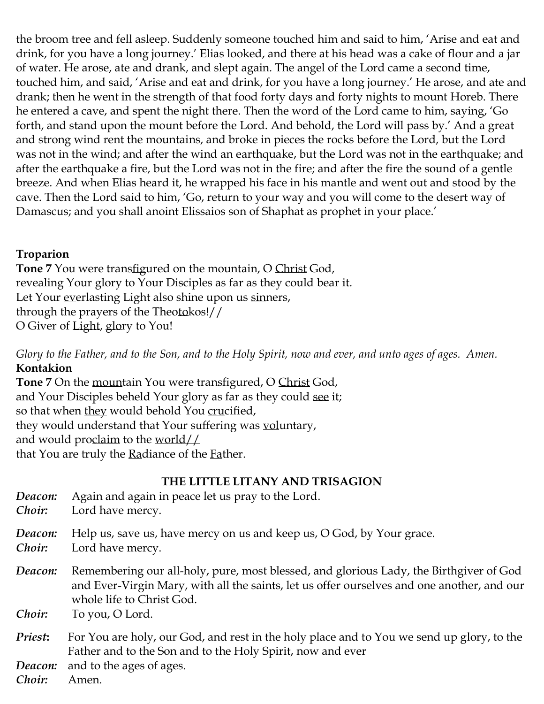the broom tree and fell asleep. Suddenly someone touched him and said to him, 'Arise and eat and drink, for you have a long journey.' Elias looked, and there at his head was a cake of flour and a jar of water. He arose, ate and drank, and slept again. The angel of the Lord came a second time, touched him, and said, 'Arise and eat and drink, for you have a long journey.' He arose, and ate and drank; then he went in the strength of that food forty days and forty nights to mount Horeb. There he entered a cave, and spent the night there. Then the word of the Lord came to him, saying, 'Go forth, and stand upon the mount before the Lord. And behold, the Lord will pass by.' And a great and strong wind rent the mountains, and broke in pieces the rocks before the Lord, but the Lord was not in the wind; and after the wind an earthquake, but the Lord was not in the earthquake; and after the earthquake a fire, but the Lord was not in the fire; and after the fire the sound of a gentle breeze. And when Elias heard it, he wrapped his face in his mantle and went out and stood by the cave. Then the Lord said to him, 'Go, return to your way and you will come to the desert way of Damascus; and you shall anoint Elissaios son of Shaphat as prophet in your place.'

# **Troparion**

**Tone 7** You were transfigured on the mountain, O Christ God, revealing Your glory to Your Disciples as far as they could bear it. Let Your everlasting Light also shine upon us sinners, through the prayers of the Theotokos!// O Giver of Light, glory to You!

*Glory to the Father, and to the Son, and to the Holy Spirit, now and ever, and unto ages of ages. Amen.* **Kontakion**

**Tone 7** On the mountain You were transfigured, O Christ God, and Your Disciples beheld Your glory as far as they could see it; so that when they would behold You crucified, they would understand that Your suffering was voluntary, and would proclaim to the world $\angle\angle$ that You are truly the Radiance of the Father.

# **THE LITTLE LITANY AND TRISAGION**

| Deacon:<br>Choir: | Again and again in peace let us pray to the Lord.<br>Lord have mercy.                                                                                                                                                                |
|-------------------|--------------------------------------------------------------------------------------------------------------------------------------------------------------------------------------------------------------------------------------|
| Deacon:<br>Choir: | Help us, save us, have mercy on us and keep us, O God, by Your grace.<br>Lord have mercy.                                                                                                                                            |
| Deacon:<br>Choir: | Remembering our all-holy, pure, most blessed, and glorious Lady, the Birthgiver of God<br>and Ever-Virgin Mary, with all the saints, let us offer ourselves and one another, and our<br>whole life to Christ God.<br>To you, O Lord. |
| Priest:           | For You are holy, our God, and rest in the holy place and to You we send up glory, to the                                                                                                                                            |
|                   | Father and to the Son and to the Holy Spirit, now and ever                                                                                                                                                                           |
| Deacon:           | and to the ages of ages.                                                                                                                                                                                                             |

*Choir:* Amen.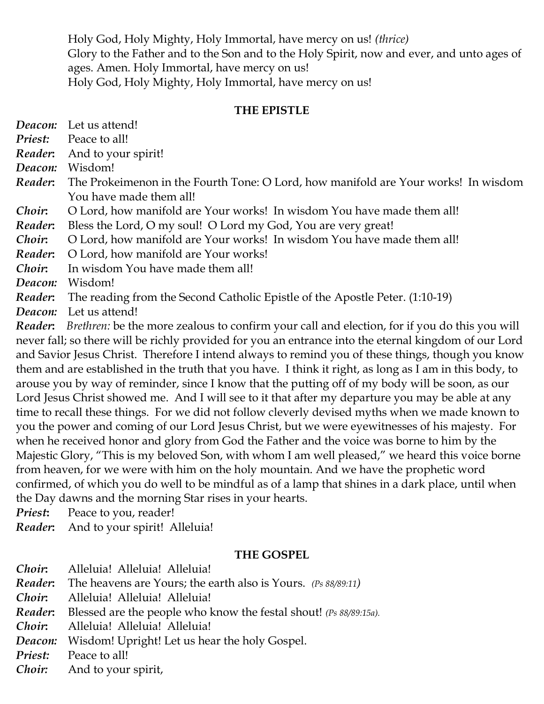Holy God, Holy Mighty, Holy Immortal, have mercy on us! *(thrice)* Glory to the Father and to the Son and to the Holy Spirit, now and ever, and unto ages of ages. Amen. Holy Immortal, have mercy on us! Holy God, Holy Mighty, Holy Immortal, have mercy on us!

#### **THE EPISTLE**

*Deacon:* Let us attend!

*Priest:* Peace to all!

*Reader***:** And to your spirit!

*Deacon:* Wisdom!

*Reader***:** The Prokeimenon in the Fourth Tone: O Lord, how manifold are Your works! In wisdom You have made them all!

*Choir***:** O Lord, how manifold are Your works! In wisdom You have made them all!

*Reader***:** Bless the Lord, O my soul! O Lord my God, You are very great!

*Choir***:** O Lord, how manifold are Your works! In wisdom You have made them all!

*Reader***:** O Lord, how manifold are Your works!

*Choir***:** In wisdom You have made them all!

*Deacon:* Wisdom!

*Reader***:** The reading from the Second Catholic Epistle of the Apostle Peter. (1:10-19)

*Deacon:* Let us attend!

*Reader***:** *Brethren:* be the more zealous to confirm your call and election, for if you do this you will never fall; so there will be richly provided for you an entrance into the eternal kingdom of our Lord and Savior Jesus Christ. Therefore I intend always to remind you of these things, though you know them and are established in the truth that you have. I think it right, as long as I am in this body, to arouse you by way of reminder, since I know that the putting off of my body will be soon, as our Lord Jesus Christ showed me. And I will see to it that after my departure you may be able at any time to recall these things. For we did not follow cleverly devised myths when we made known to you the power and coming of our Lord Jesus Christ, but we were eyewitnesses of his majesty. For when he received honor and glory from God the Father and the voice was borne to him by the Majestic Glory, "This is my beloved Son, with whom I am well pleased," we heard this voice borne from heaven, for we were with him on the holy mountain. And we have the prophetic word confirmed, of which you do well to be mindful as of a lamp that shines in a dark place, until when the Day dawns and the morning Star rises in your hearts.

**Priest:** Peace to you, reader!

*Reader***:** And to your spirit! Alleluia!

### **THE GOSPEL**

| Choir: | Alleluia! Alleluia! Alleluia!                                                    |
|--------|----------------------------------------------------------------------------------|
|        | <b>Reader:</b> The heavens are Yours; the earth also is Yours. (Ps 88/89:11)     |
| Choir: | Alleluia! Alleluia! Alleluia!                                                    |
|        | <b>Reader:</b> Blessed are the people who know the festal shout! (Ps 88/89:15a). |
| Choir: | Alleluia! Alleluia! Alleluia!                                                    |
|        | <b>Deacon:</b> Wisdom! Upright! Let us hear the holy Gospel.                     |
|        | <b>Priest:</b> Peace to all!                                                     |
|        | <i>Choir:</i> And to your spirit,                                                |